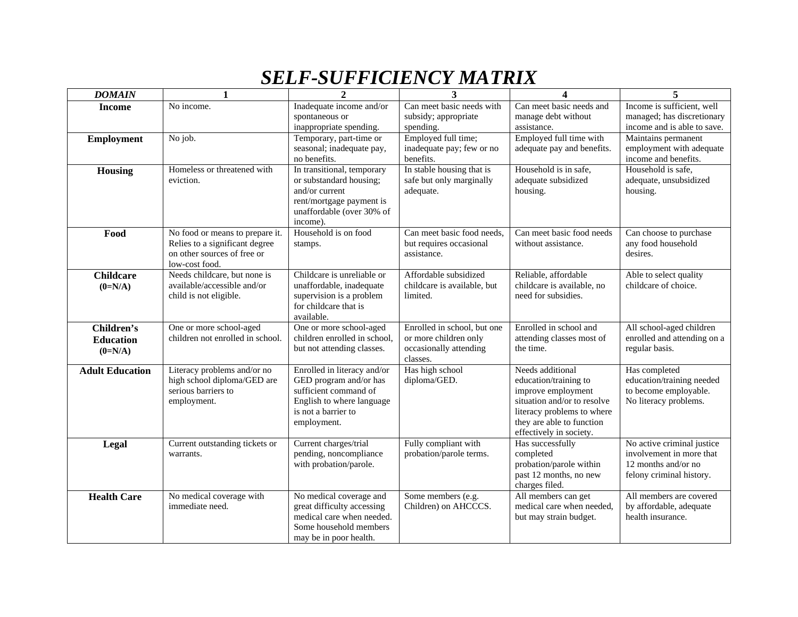## *SELF-SUFFICIENCY MATRIX*

| <b>DOMAIN</b>                               | $\mathbf{1}$                                                                                                       | $\overline{2}$                                                                                                                                    | 3                                                                                          | 4                                                                                                                                                                                    | 5                                                                                                         |
|---------------------------------------------|--------------------------------------------------------------------------------------------------------------------|---------------------------------------------------------------------------------------------------------------------------------------------------|--------------------------------------------------------------------------------------------|--------------------------------------------------------------------------------------------------------------------------------------------------------------------------------------|-----------------------------------------------------------------------------------------------------------|
| <b>Income</b>                               | No income.                                                                                                         | Inadequate income and/or<br>spontaneous or<br>inappropriate spending.                                                                             | Can meet basic needs with<br>subsidy; appropriate<br>spending.                             | Can meet basic needs and<br>manage debt without<br>assistance.                                                                                                                       | Income is sufficient, well<br>managed; has discretionary<br>income and is able to save.                   |
| <b>Employment</b>                           | No job.                                                                                                            | Temporary, part-time or<br>seasonal; inadequate pay,<br>no benefits.                                                                              | Employed full time;<br>inadequate pay; few or no<br>benefits.                              | Employed full time with<br>adequate pay and benefits.                                                                                                                                | Maintains permanent<br>employment with adequate<br>income and benefits.                                   |
| Housing                                     | Homeless or threatened with<br>eviction.                                                                           | In transitional, temporary<br>or substandard housing;<br>and/or current<br>rent/mortgage payment is<br>unaffordable (over 30% of<br>income).      | In stable housing that is<br>safe but only marginally<br>adequate.                         | Household is in safe,<br>adequate subsidized<br>housing.                                                                                                                             | Household is safe,<br>adequate, unsubsidized<br>housing.                                                  |
| Food                                        | No food or means to prepare it.<br>Relies to a significant degree<br>on other sources of free or<br>low-cost food. | Household is on food<br>stamps.                                                                                                                   | Can meet basic food needs,<br>but requires occasional<br>assistance.                       | Can meet basic food needs<br>without assistance.                                                                                                                                     | Can choose to purchase<br>any food household<br>desires.                                                  |
| <b>Childcare</b><br>$(0=N/A)$               | Needs childcare, but none is<br>available/accessible and/or<br>child is not eligible.                              | Childcare is unreliable or<br>unaffordable, inadequate<br>supervision is a problem<br>for childcare that is<br>available.                         | Affordable subsidized<br>childcare is available, but<br>limited.                           | Reliable, affordable<br>childcare is available, no<br>need for subsidies.                                                                                                            | Able to select quality<br>childcare of choice.                                                            |
| Children's<br><b>Education</b><br>$(0=N/A)$ | One or more school-aged<br>children not enrolled in school.                                                        | One or more school-aged<br>children enrolled in school,<br>but not attending classes.                                                             | Enrolled in school, but one<br>or more children only<br>occasionally attending<br>classes. | Enrolled in school and<br>attending classes most of<br>the time.                                                                                                                     | All school-aged children<br>enrolled and attending on a<br>regular basis.                                 |
| <b>Adult Education</b>                      | Literacy problems and/or no<br>high school diploma/GED are<br>serious barriers to<br>employment.                   | Enrolled in literacy and/or<br>GED program and/or has<br>sufficient command of<br>English to where language<br>is not a barrier to<br>employment. | Has high school<br>diploma/GED.                                                            | Needs additional<br>education/training to<br>improve employment<br>situation and/or to resolve<br>literacy problems to where<br>they are able to function<br>effectively in society. | Has completed<br>education/training needed<br>to become employable.<br>No literacy problems.              |
| Legal                                       | Current outstanding tickets or<br>warrants.                                                                        | Current charges/trial<br>pending, noncompliance<br>with probation/parole.                                                                         | Fully compliant with<br>probation/parole terms.                                            | Has successfully<br>completed<br>probation/parole within<br>past 12 months, no new<br>charges filed.                                                                                 | No active criminal justice<br>involvement in more that<br>12 months and/or no<br>felony criminal history. |
| <b>Health Care</b>                          | No medical coverage with<br>immediate need.                                                                        | No medical coverage and<br>great difficulty accessing<br>medical care when needed.<br>Some household members<br>may be in poor health.            | Some members (e.g.<br>Children) on AHCCCS.                                                 | All members can get<br>medical care when needed,<br>but may strain budget.                                                                                                           | All members are covered<br>by affordable, adequate<br>health insurance.                                   |